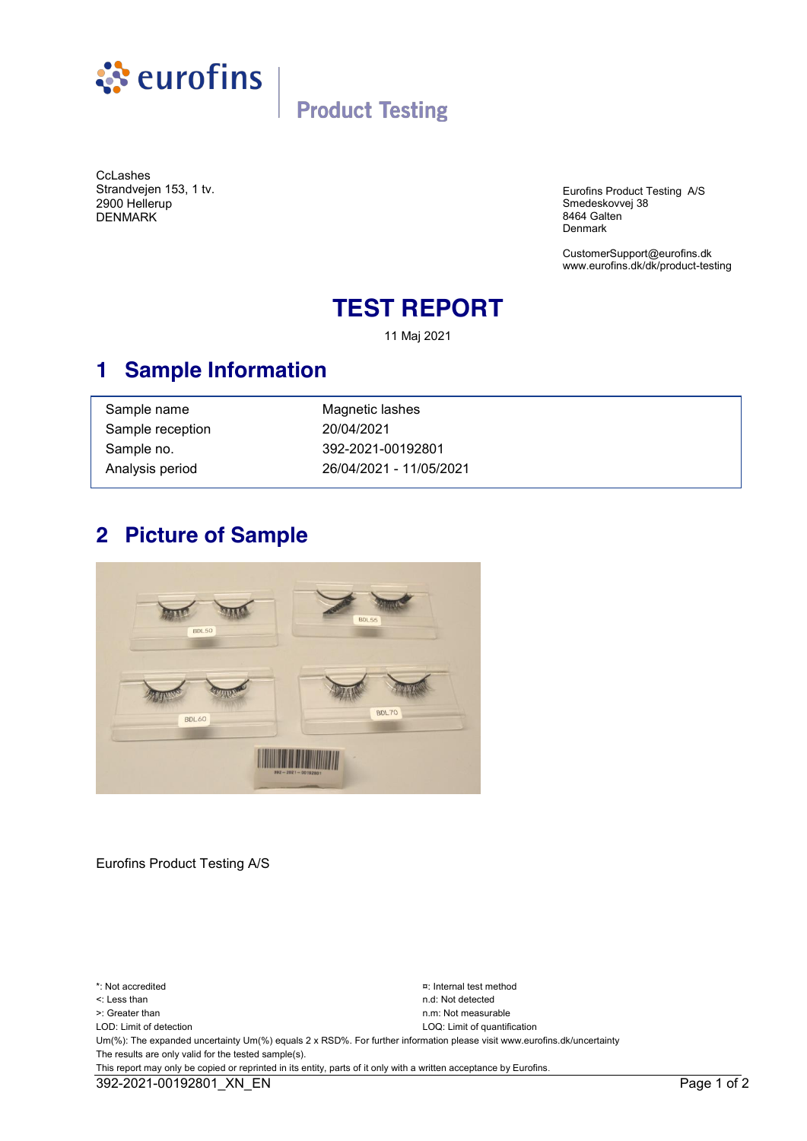

# **Product Testing**

**CcLashes** Strandvejen 153, 1 tv. 2900 Hellerup DENMARK

Eurofins Product Testing A/S Smedeskovvej 38 8464 Galten Denmark

[CustomerSupport@eurofins.dk](mailto:product-testing@eurofins.dk)  www.eurofins.dk/dk/product-testing

### **TEST REPORT**

11 Maj 2021

### **1 Sample Information**

| Sample name      | Magnetic lashes         |
|------------------|-------------------------|
| Sample reception | 20/04/2021              |
| Sample no.       | 392-2021-00192801       |
| Analysis period  | 26/04/2021 - 11/05/2021 |

### **2 Picture of Sample**



Eurofins Product Testing A/S

\*: Not accredited ¤: Internal test method <: Less than n.d: Not detected >: Greater than n.m: Not measurable LOD: Limit of detection LOQ: Limit of quantification Um(%): The expanded uncertainty Um(%) equals 2 x RSD%. For further information please visit www.eurofins.dk/uncertainty The results are only valid for the tested sample(s). This report may only be copied or reprinted in its entity, parts of it only with a written acceptance by Eurofins. 392-2021-00192801\_XN\_EN Page 1 of 2